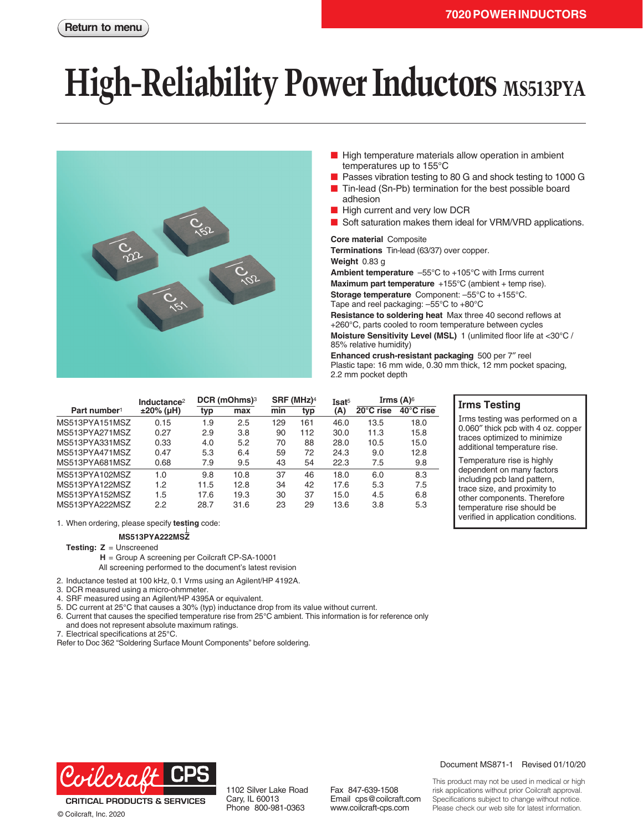# **High-Reliability Power Inductors** MS513PYA



- High temperature materials allow operation in ambient temperatures up to 155°C
- Passes vibration testing to 80 G and shock testing to 1000 G
- Tin-lead (Sn-Pb) termination for the best possible board adhesion
- High current and very low DCR
- Soft saturation makes them ideal for VRM/VRD applications.

#### **Core material** Composite

**Terminations** Tin-lead (63/37) over copper.

**Weight** 0.83 g

**Ambient temperature** –55°C to +105°C with Irms current

**Maximum part temperature** +155°C (ambient + temp rise).

**Storage temperature** Component: –55°C to +155°C. Tape and reel packaging: –55°C to +80°C

**Resistance to soldering heat** Max three 40 second reflows at +260°C, parts cooled to room temperature between cycles **Moisture Sensitivity Level (MSL)** 1 (unlimited floor life at <30°C / 85% relative humidity)

**Enhanced crush-resistant packaging** 500 per 7″ reel Plastic tape: 16 mm wide, 0.30 mm thick, 12 mm pocket spacing, 2.2 mm pocket depth

**Irms Testing**

Irms testing was performed on a 0.060″ thick pcb with 4 oz. copper traces optimized to minimize additional temperature rise. Temperature rise is highly dependent on many factors including pcb land pattern, trace size, and proximity to other components. Therefore temperature rise should be verified in application conditions.

|                          | Inductance <sup>2</sup> | $DCR$ (mOhms) <sup>3</sup> |      | SRF (MHz) <sup>4</sup> |     | Isat <sup>5</sup> | Irms $(A)$ <sup>6</sup> |           |
|--------------------------|-------------------------|----------------------------|------|------------------------|-----|-------------------|-------------------------|-----------|
| Part number <sup>1</sup> | $±20\%$ (µH)            | typ                        | max  | min                    | typ | (A)               | $20^{\circ}$ C rise     | 40°C rise |
| MS513PYA151MSZ           | 0.15                    | 1.9                        | 2.5  | 129                    | 161 | 46.0              | 13.5                    | 18.0      |
| MS513PYA271MSZ           | 0.27                    | 2.9                        | 3.8  | 90                     | 112 | 30.0              | 11.3                    | 15.8      |
| MS513PYA331MSZ           | 0.33                    | 4.0                        | 5.2  | 70                     | 88  | 28.0              | 10.5                    | 15.0      |
| MS513PYA471MSZ           | 0.47                    | 5.3                        | 6.4  | 59                     | 72  | 24.3              | 9.0                     | 12.8      |
| MS513PYA681MSZ           | 0.68                    | 7.9                        | 9.5  | 43                     | 54  | 22.3              | 7.5                     | 9.8       |
| MS513PYA102MSZ           | 1.0                     | 9.8                        | 10.8 | 37                     | 46  | 18.0              | 6.0                     | 8.3       |
| MS513PYA122MSZ           | 1.2                     | 11.5                       | 12.8 | 34                     | 42  | 17.6              | 5.3                     | 7.5       |
| MS513PYA152MSZ           | 1.5                     | 17.6                       | 19.3 | 30                     | 37  | 15.0              | 4.5                     | 6.8       |
| MS513PYA222MSZ           | 2.2                     | 28.7                       | 31.6 | 23                     | 29  | 13.6              | 3.8                     | 5.3       |

1. When ordering, please specify **testing** code:

### **MS513PYA222MSZ**

**Testing: Z** = Unscreened

**H** = Group A screening per Coilcraft CP-SA-10001

All screening performed to the document's latest revision

2. Inductance tested at 100 kHz, 0.1 Vrms using an Agilent/HP 4192A.

3. DCR measured using a micro-ohmmeter.

- 4. SRF measured using an Agilent/HP 4395A or equivalent.
- 5. DC current at 25°C that causes a 30% (typ) inductance drop from its value without current.
- 6. Current that causes the specified temperature rise from 25°C ambient. This information is for reference only
- and does not represent absolute maximum ratings.
- 7. Electrical specifications at 25°C.

Refer to Doc 362 "Soldering Surface Mount Components" before soldering.



1102 Silver Lake Road Cary, IL 60013 Phone 800-981-0363

www.coilcraft-cps.com

## Document MS871-1 Revised 01/10/20

This product may not be used in medical or high risk applications without prior Coilcraft approval. Specifications subject to change without notice. Please check our web site for latest information.

Fax 847-639-1508 Email cps@coilcraft.com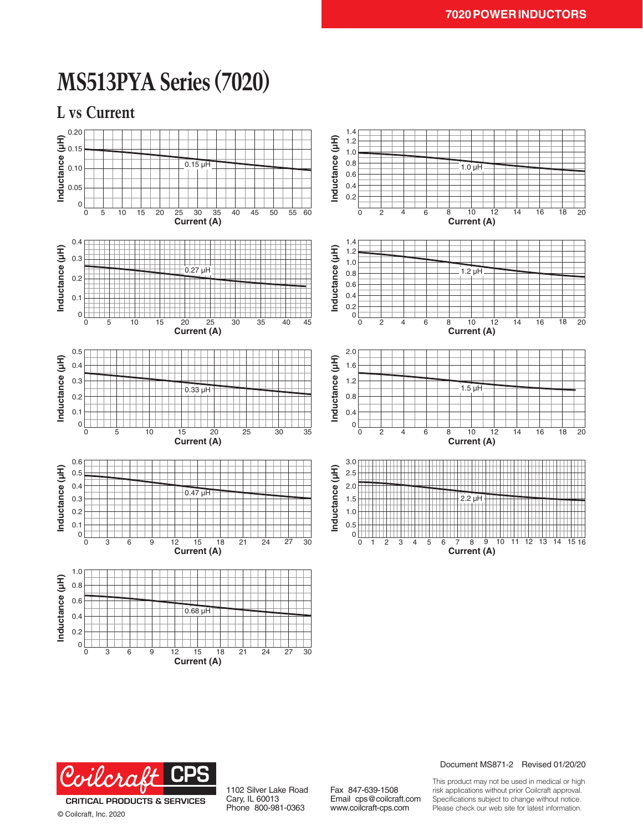# **MS513PYA Series (7020)**

**L vs Current**





**Current (A)**

© Coilcraft, Inc. 2020

1102 Silver Lake Road Cary, IL 60013 Phone 800-981-0363

Fax 847-639-1508 Email cps@coilcraft.com www.coilcraft-cps.com

Document MS871-2 Revised 01/20/20

This product may not be used in medical or high risk applications without prior Coilcraft approval. Specifications subject to change without notice. Please check our web site for latest information.